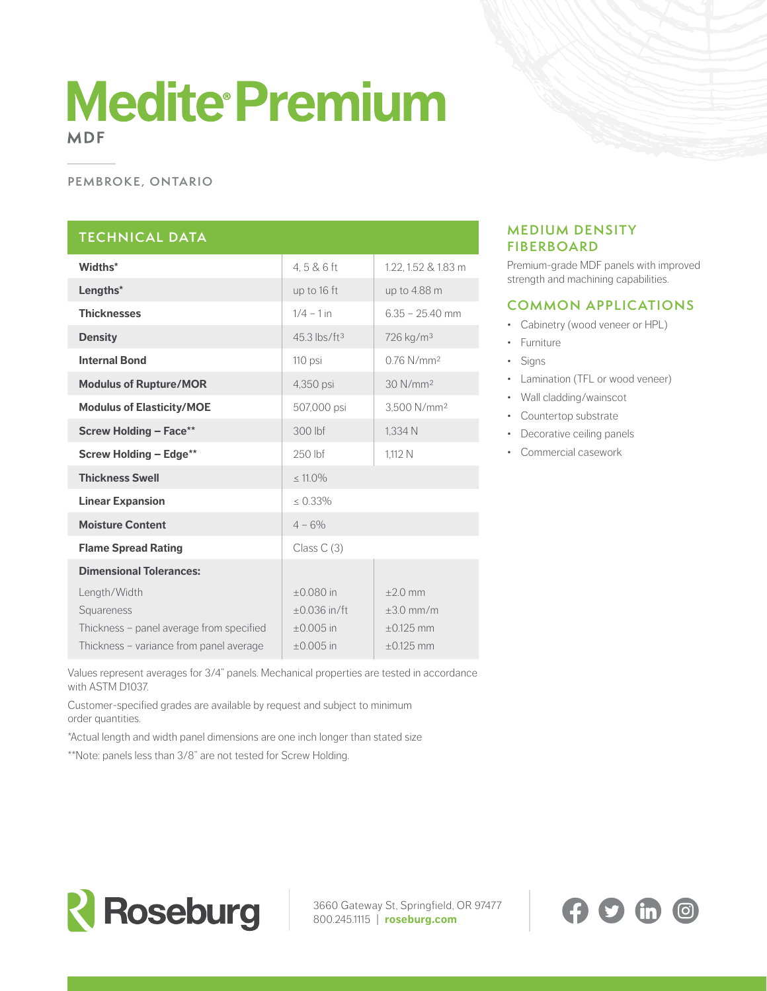# **Medite Premium MDF**

#### **PEMBROKE, ONTARIO**

## **TECHNICAL DATA**

| Widths*                                  | 4, 5 & 6 ft                | 1.22, 1.52 & 1.83 m      |
|------------------------------------------|----------------------------|--------------------------|
| Lengths*                                 | up to 16 ft                | up to 4.88 m             |
| <b>Thicknesses</b>                       | $1/4 - 1$ in               | $6.35 - 25.40$ mm        |
| <b>Density</b>                           | $45.3$ lbs/ft <sup>3</sup> | 726 kg/m <sup>3</sup>    |
| <b>Internal Bond</b>                     | 110 psi                    | $0.76$ N/mm <sup>2</sup> |
| <b>Modulus of Rupture/MOR</b>            | 4,350 psi                  | 30 N/mm <sup>2</sup>     |
| <b>Modulus of Elasticity/MOE</b>         | 507,000 psi                | 3.500 N/mm <sup>2</sup>  |
| <b>Screw Holding - Face**</b>            | 300 lbf                    | 1,334 N                  |
| <b>Screw Holding - Edge**</b>            | 250 lbf                    | 1.112 N                  |
| <b>Thickness Swell</b>                   | $\leq 11.0\%$              |                          |
| <b>Linear Expansion</b>                  | $\leq 0.33\%$              |                          |
| <b>Moisture Content</b>                  | $4 - 6\%$                  |                          |
| <b>Flame Spread Rating</b>               | Class $C(3)$               |                          |
| <b>Dimensional Tolerances:</b>           |                            |                          |
| Length/Width                             | $\pm 0.080$ in             | $+20$ mm                 |
| Squareness                               | $\pm 0.036$ in/ft          | $+3.0$ mm/m              |
| Thickness - panel average from specified | $±0.005$ in                | $\pm 0.125$ mm           |
| Thickness – variance from panel average  | $±0.005$ in                | $+0.125$ mm              |

**MEDIUM DENSITY FIBERBOARD**

Premium-grade MDF panels with improved strength and machining capabilities.

## **COMMON APPLICATIONS**

- Cabinetry (wood veneer or HPL)
- Furniture
- Signs
- Lamination (TFL or wood veneer)
- Wall cladding/wainscot
- Countertop substrate
- Decorative ceiling panels
- Commercial casework

Values represent averages for 3/4" panels. Mechanical properties are tested in accordance with ASTM D1037.

Customer-specified grades are available by request and subject to minimum order quantities.

\*Actual length and width panel dimensions are one inch longer than stated size

\*\*Note: panels less than 3/8" are not tested for Screw Holding.



3660 Gateway St, Springfield, OR 97477 800.245.1115 | **[roseburg.com](http://roseburg.com)**